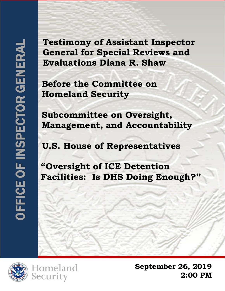**Testimony of Assistant Inspector General for Special Reviews and Evaluations Diana R. Shaw Example 1 Second Review Evaluations Diana R. Shale Before the Committee on Homeland Security Subcommittee on Oversig Management, and Account U.S. House of Representation Contraction Pacilities: Is DHS Doing INCOLLY NAME A** 

**OFFICE OF INSPECTOR GENERAL AND STRUCTURE** Department of Homeland Security

 **Homeland Security**

**Subcommittee on Oversight, Management, and Accountability**

 **U.S. House of Representatives**

**"Oversight of ICE Detention Facilities: Is DHS Doing Enough?"**





**September 26, 2019 2:00 PM**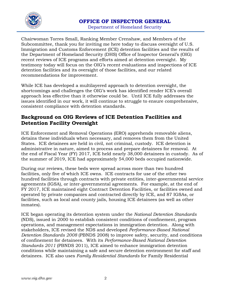

Chairwoman Torres Small, Ranking Member Crenshaw, and Members of the Subcommittee, thank you for inviting me here today to discuss oversight of U.S. Immigration and Customs Enforcement (ICE) detention facilities and the results of the Department of Homeland Security (DHS) Office of Inspector General's (OIG) recent reviews of ICE programs and efforts aimed at detention oversight. My testimony today will focus on the OIG's recent evaluations and inspections of ICE detention facilities and its oversight of those facilities, and our related recommendations for improvement.

While ICE has developed a multilayered approach to detention oversight, the shortcomings and challenges the OIG's work has identified render ICE's overall approach less effective than it otherwise could be. Until ICE fully addresses the issues identified in our work, it will continue to struggle to ensure comprehensive, consistent compliance with detention standards.

#### **Background on OIG Reviews of ICE Detention Facilities and Detention Facility Oversight**

ICE Enforcement and Removal Operations (ERO) apprehends removable aliens, detains these individuals when necessary, and removes them from the United States. ICE detainees are held in civil, not criminal, custody. ICE detention is administrative in nature, aimed to process and prepare detainees for removal. At the end of Fiscal Year (FY) 2017, ICE held nearly 38,000 detainees in custody. As of the summer of 2019, ICE had approximately 54,000 beds occupied nationwide.

During our reviews, these beds were spread across more than two hundred facilities, only five of which ICE owns. ICE contracts for use of the other two hundred facilities through contracts with private entities, inter-governmental service agreements (IGSA), or inter-governmental agreements. For example, at the end of FY 2017, ICE maintained eight Contract Detention Facilities, or facilities owned and operated by private companies and contracted directly by ICE, and 87 IGSAs, or facilities, such as local and county jails, housing ICE detainees (as well as other inmates).

ICE began operating its detention system under the *National Detention Standards*  (NDS), issued in 2000 to establish consistent conditions of confinement, program operations, and management expectations in immigration detention. Along with stakeholders, ICE revised the NDS and developed *Performance-Based National Detention Standards 2008* (PBNDS 2008) to improve safety, security, and conditions of confinement for detainees. With its *Performance-Based National Detention Standards 2011* (PBNDS 2011), ICE aimed to enhance immigration detention conditions while maintaining a safe and secure detention environment for staff and detainees. ICE also uses *Family Residential Standards* for Family Residential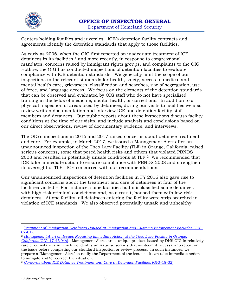

Centers holding families and juveniles. ICE's detention facility contracts and agreements identify the detention standards that apply to those facilities.

As early as 2006, when the OIG first reported on inadequate treatment of ICE  $detainees$  in its facilities, $\frac{1}{2}$  $\frac{1}{2}$  $\frac{1}{2}$  and more recently, in response to congressional mandates, concerns raised by immigrant rights groups, and complaints to the OIG Hotline, the OIG has conducted inspections of detention facilities to evaluate compliance with ICE detention standards. We generally limit the scope of our inspections to the relevant standards for health, safety, access to medical and mental health care, grievances, classification and searches, use of segregation, use of force, and language access. We focus on the elements of the detention standards that can be observed and evaluated by OIG staff who do not have specialized training in the fields of medicine, mental health, or corrections. In addition to a physical inspection of areas used by detainees, during our visits to facilities we also review written documentation and interview ICE and detention facility staff members and detainees. Our public reports about these inspections discuss facility conditions at the time of our visits, and include analysis and conclusions based on our direct observations, review of documentary evidence, and interviews.

The OIG's inspections in 2016 and 2017 raised concerns about detainee treatment and care. For example, in March 2017, we issued a Management Alert after an unannounced inspection of the Theo Lacy Facility (TLF) in Orange, California, raised serious concerns, some that posed health risks and others that violated PBNDS 2008 and resulted in potentially unsafe conditions at TLF.[2](#page-2-1) We recommended that ICE take immediate action to ensure compliance with PBNDS 2008 and strengthen its oversight of TLF. ICE concurred with our recommendations.

Our unannounced inspections of detention facilities in FY 2016 also gave rise to significant concerns about the treatment and care of detainees at four of the facilities visited.[3](#page-2-2) For instance, some facilities had misclassified some detainees with high-risk criminal convictions and, as a result, housed them with low-risk detainees. At one facility, all detainees entering the facility were strip-searched in violation of ICE standards. We also observed potentially unsafe and unhealthy

<span id="page-2-0"></span><sup>1</sup> *[Treatment of Immigration Detainees Housed at Immigration and Customs Enforcement Facilities](https://www.oig.dhs.gov/sites/default/files/assets/Mgmt/OIG_07-01_Dec06.pdf)* (OIG-[07-01\).](https://www.oig.dhs.gov/sites/default/files/assets/Mgmt/OIG_07-01_Dec06.pdf)

<span id="page-2-1"></span><sup>2</sup> *[Management Alert on Issues Requiring Immediate Action](https://www.oig.dhs.gov/sites/default/files/assets/2017/OIG-17-43-MA-030617.pdf) at the Theo Lacy Facility in Orange, California* [\(OIG-17-43-MA\).](https://www.oig.dhs.gov/sites/default/files/assets/2017/OIG-17-43-MA-030617.pdf) Management Alerts are a unique product issued by DHS OIG in relatively rare circumstances in which we identify an issue so serious that we deem it necessary to report on the issue before completing our standard inspection or review process. In such instances, we prepare a "Management Alert" to notify the Department of the issue so it can take immediate action to mitigate and/or correct the situation.

<span id="page-2-2"></span><sup>3</sup> *[Concerns about ICE Detainee Treatment and Care at Detention Facilities](https://www.oig.dhs.gov/sites/default/files/assets/2017-12/OIG-18-32-Dec17.pdf)* (OIG-18-32).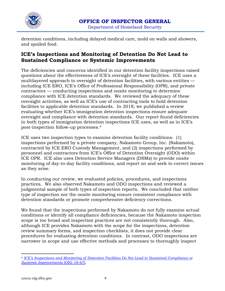

detention conditions, including delayed medical care, mold on walls and showers, and spoiled food.

## **ICE's Inspections and Monitoring of Detention Do Not Lead to Sustained Compliance or Systemic Improvements**

The deficiencies and concerns identified in our detention facility inspections raised questions about the effectiveness of ICE's oversight of these facilities. ICE uses a multilayered approach to oversight of detention facilities, with various entities including ICE ERO, ICE's Office of Professional Responsibility (OPR), and private contractors — conducting inspections and onsite monitoring to determine compliance with ICE detention standards. We reviewed the adequacy of these oversight activities, as well as ICE's use of contracting tools to hold detention facilities to applicable detention standards. In 2018, we published a review evaluating whether ICE's immigration detention inspections ensure adequate oversight and compliance with detention standards. Our report found deficiencies in both types of immigration detention inspections ICE uses, as well as in ICE's post-inspection follow-up processes.[4](#page-3-0)

ICE uses two inspection types to examine detention facility conditions: (1) inspections performed by a private company, Nakamoto Group, Inc. (Nakamoto), contracted by ICE ERO Custody Management, and (2) inspections performed by personnel and contractors from ICE's Office of Detention Oversight (ODO) within ICE OPR. ICE also uses Detention Service Managers (DSMs) to provide onsite monitoring of day-to-day facility conditions, and report on and seek to correct issues as they arise.

In conducting our review, we evaluated policies, procedures, and inspections practices. We also observed Nakamoto and ODO inspections and reviewed a judgmental sample of both types of inspection reports. We concluded that neither type of inspection nor the onsite monitoring ensure consistent compliance with detention standards or promote comprehensive deficiency corrections.

We found that the inspections performed by Nakamoto do not fully examine actual conditions or identify all compliance deficiencies, because the Nakamoto inspection scope is too broad and inspection practices are not consistently thorough. Also, although ICE provides Nakamoto with the scope for the inspections, detention review summary forms, and inspection checklists, it does not provide clear procedures for evaluating detention conditions. In contrast, ODO inspections are narrower in scope and use effective methods and processes to thoroughly inspect

<span id="page-3-0"></span> $\overline{a}$ <sup>4</sup> *[ICE's Inspections and Monitoring of Detention Facilities Do Not Lead to Sustained Compliance or](https://www.oig.dhs.gov/sites/default/files/assets/2018-06/OIG-18-67-Jun18.pdf)  [Systemic Improvements](https://www.oig.dhs.gov/sites/default/files/assets/2018-06/OIG-18-67-Jun18.pdf)* (OIG-18-67).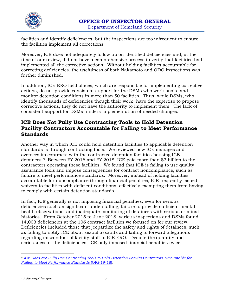

facilities and identify deficiencies, but the inspections are too infrequent to ensure the facilities implement all corrections.

Moreover, ICE does not adequately follow up on identified deficiencies and, at the time of our review, did not have a comprehensive process to verify that facilities had implemented all the corrective actions. Without holding facilities accountable for correcting deficiencies, the usefulness of both Nakamoto and ODO inspections was further diminished.

In addition, ICE ERO field offices, which are responsible for implementing corrective actions, do not provide consistent support for the DSMs who work onsite and monitor detention conditions in more than 50 facilities. Thus, while DSMs, who identify thousands of deficiencies though their work, have the expertise to propose corrective actions, they do not have the authority to implement them. The lack of consistent support for DSMs hinders implementation of needed changes.

#### **ICE Does Not Fully Use Contracting Tools to Hold Detention Facility Contractors Accountable for Failing to Meet Performance Standards**

Another way in which ICE could hold detention facilities to applicable detention standards is through contracting tools. We reviewed how ICE manages and oversees its contracts with the contracted detention facilities housing ICE detainees.[5](#page-4-0) Between FY 2016 and FY 2018, ICE paid more than \$3 billion to the contractors operating these facilities. We found that ICE is failing to use quality assurance tools and impose consequences for contract noncompliance, such as failure to meet performance standards. Moreover, instead of holding facilities accountable for noncompliance through financial penalties, ICE frequently issued waivers to facilities with deficient conditions, effectively exempting them from having to comply with certain detention standards.

In fact, ICE generally is not imposing financial penalties, even for serious deficiencies such as significant understaffing, failure to provide sufficient mental health observations, and inadequate monitoring of detainees with serious criminal histories. From October 2015 to June 2018, various inspections and DSMs found 14,003 deficiencies at the 106 contract facilities we focused on for our review. Deficiencies included those that jeopardize the safety and rights of detainees, such as failing to notify ICE about sexual assaults and failing to forward allegations regarding misconduct of facility staff to ICE ERO. Despite the quantity and seriousness of the deficiencies, ICE only imposed financial penalties twice.

<span id="page-4-0"></span><sup>5</sup> *[ICE Does Not Fully Use Contracting Tools to Hold Detention Facility Contractors Accountable for](https://www.oig.dhs.gov/sites/default/files/assets/2019-02/OIG-19-18-Jan19.pdf)  [Failing to Meet Performance Standards](https://www.oig.dhs.gov/sites/default/files/assets/2019-02/OIG-19-18-Jan19.pdf)* (OIG-19-18).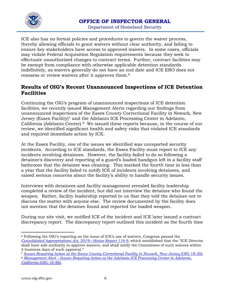

ICE also has no formal policies and procedures to govern the waiver process, thereby allowing officials to grant waivers without clear authority, and failing to ensure key stakeholders have access to approved waivers. In some cases, officials may violate Federal Acquisition Regulation requirements because they seek to effectuate unauthorized changes to contract terms. Further, contract facilities may be exempt from compliance with otherwise applicable detention standards indefinitely, as waivers generally do not have an end date and ICE ERO does not reassess or review waivers after it approves them.[6](#page-5-0)

## **Results of OIG's Recent Unannounced Inspections of ICE Detention Facilities**

Continuing the OIG's program of unannounced inspections of ICE detention facilities, we recently issued Management Alerts regarding our findings from unannounced inspections of the Essex County Correctional Facility in Newark, New Jersey (Essex Facility)<sup>[7](#page-5-1)</sup> and the Adelanto ICE Processing Center in Adelanto, California (Adelanto Center).[8](#page-5-2) We issued these reports because, in the course of our review, we identified significant health and safety risks that violated ICE standards and required immediate action by ICE.

At the Essex Facility, one of the issues we identified was unreported security incidents. According to ICE standards, the Essex Facility must report to ICE any incidents involving detainees. However, the facility failed to do so following a detainee's discovery and reporting of a guard's loaded handgun left in a facility staff bathroom that the detainee was cleaning. This marked the fourth time in less than a year that the facility failed to notify ICE of incidents involving detainees, and raised serious concerns about the facility's ability to handle security issues.

Interviews with detainees and facility management revealed facility leadership completed a review of the incident, but did not interview the detainee who found the weapon. Rather, facility leadership reported to us that they told the detainee not to discuss the matter with anyone else. The review documented by the facility does not mention that the detainee found and reported the loaded weapon.

During our site visit, we notified ICE of the incident and ICE later issued a contract discrepancy report. The discrepancy report outlined this incident as the fourth time

<span id="page-5-0"></span> $\overline{a}$ <sup>6</sup> Following the OIG's reporting on the issue of ICE's use of waivers, Congress passed the *[Consolidated Appropriations Act, 2019—House Report 116-9](https://www.congress.gov/congressional-report/116th-congress/house-report/9)*, which established that the "ICE Director shall have sole authority to approve waivers, and shall notify the Committees of such waivers within 3 business days of such approval."

<span id="page-5-1"></span><sup>7</sup> *[Issues Requiring Action at the Essex County Correctional Facility in Newark, New Jersey](https://www.oig.dhs.gov/sites/default/files/assets/2019-02/OIG-19-20-Feb19.pdf)* (OIG-19-20).

<span id="page-5-2"></span><sup>8</sup> *Management Alert – [Issues Requiring Action at the Adelanto ICE Processing Center in Adelanto,](https://www.oig.dhs.gov/sites/default/files/assets/2018-10/OIG-18-86-Sep18.pdf)* 

*California* [\(OIG-18-86\).](https://www.oig.dhs.gov/sites/default/files/assets/2018-10/OIG-18-86-Sep18.pdf)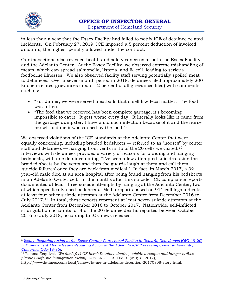

in less than a year that the Essex Facility had failed to notify ICE of detainee-related incidents. On February 27, 2019, ICE imposed a 5 percent deduction of invoiced amounts, the highest penalty allowed under the contract.

Our inspections also revealed health and safety concerns at both the Essex Facility and the Adelanto Center. At the Essex Facility, we observed extreme mishandling of meats, which can spread salmonella, listeria, and E. coli, leading to serious foodborne illnesses. We also observed facility staff serving potentially spoiled meat to detainees. Over a seven-month period in 2018, detainees filed approximately 200 kitchen-related grievances (about 12 percent of all grievances filed) with comments such as:

- "For dinner, we were served meatballs that smell like fecal matter. The food was rotten."
- "The food that we received has been complete garbage, it's becoming impossible to eat it. It gets worse every day. It literally looks like it came from the garbage dumpster; I have a stomach infection because of it and the nurse herself told me it was caused by the food."[9](#page-6-0)

We observed violations of the ICE standards at the Adelanto Center that were equally concerning, including braided bedsheets — referred to as "nooses" by center staff and detainees  $-$  hanging from vents in 15 of the 20 cells we visited.<sup>10</sup> Interviews with detainees provided a variety of reasons for braiding and hanging bedsheets, with one detainee noting, "I've seen a few attempted suicides using the braided sheets by the vents and then the guards laugh at them and call them 'suicide failures' once they are back from medical." In fact, in March 2017, a 32 year-old male died at an area hospital after being found hanging from his bedsheets in an Adelanto Center cell. In the months after this suicide, ICE compliance reports documented at least three suicide attempts by hanging at the Adelanto Center, two of which specifically used bedsheets. Media reports based on 911 call logs indicate at least four other suicide attempts at the Adelanto Center from December 2016 to July 2017.[11](#page-6-2) In total, these reports represent at least seven suicide attempts at the Adelanto Center from December 2016 to October 2017. Nationwide, self-inflicted strangulation accounts for 4 of the 20 detainee deaths reported between October 2016 to July 2018, according to ICE news releases.

<span id="page-6-1"></span><span id="page-6-0"></span><sup>&</sup>lt;sup>9</sup> *[Issues Requiring Action at the Essex County Correctional Facility in Newark, New Jersey](https://www.oig.dhs.gov/sites/default/files/assets/2019-02/OIG-19-20-Feb19.pdf) (OIG-19-20).* <sup>10</sup> *Management Alert – Issues Requiring Action at the [Adelanto ICE Processing Center in Adelanto,](https://www.oig.dhs.gov/sites/default/files/assets/2018-10/OIG-18-86-Sep18.pdf)  California* [\(OIG-18-86\).](https://www.oig.dhs.gov/sites/default/files/assets/2018-10/OIG-18-86-Sep18.pdf)

<span id="page-6-2"></span><sup>11</sup> Paloma Esquivel, *'We don't feel OK here': Detainee deaths, suicide attempts and hunger strikes plague California immigration facility*, LOS ANGELES TIMES (Aug. 8, 2017),

http://www.latimes.com/local/lanow/la-me-ln-adelanto-detention-20170808-story.html.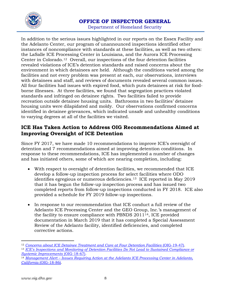

Department of Homeland Security

In addition to the serious issues highlighted in our reports on the Essex Facility and the Adelanto Center, our program of unannounced inspections identified other instances of noncompliance with standards at these facilities, as well as two others: the LaSalle ICE Processing Center in Louisiana, and the Aurora ICE Processing Center in Colorado.[12](#page-7-0) Overall, our inspections of the four detention facilities revealed violations of ICE's detention standards and raised concerns about the environment in which detainees are held. Although the conditions varied among the facilities and not every problem was present at each, our observations, interviews with detainees and staff, and reviews of documents revealed several common issues. All four facilities had issues with expired food, which puts detainees at risk for foodborne illnesses. At three facilities, we found that segregation practices violated standards and infringed on detainee rights. Two facilities failed to provide recreation outside detainee housing units. Bathrooms in two facilities' detainee housing units were dilapidated and moldy. Our observations confirmed concerns identified in detainee grievances, which indicated unsafe and unhealthy conditions to varying degrees at all of the facilities we visited.

#### **ICE Has Taken Action to Address OIG Recommendations Aimed at Improving Oversight of ICE Detention**

Since FY 2017, we have made 10 recommendations to improve ICE's oversight of detention and 7 recommendations aimed at improving detention conditions. In response to these recommendations, ICE has implemented a number of changes and has initiated others, some of which are nearing completion, including:

- With respect to oversight of detention facilities, we recommended that ICE develop a follow-up inspection process for select facilities where ODO identifies egregious or numerous deficiencies.[13](#page-7-1) ICE reported in May 2019 that it has begun the follow-up inspection process and has issued two completed reports from follow-up inspections conducted in FY 2018. ICE also provided a schedule for FY 2019 follow-up inspections.
- In response to our recommendation that ICE conduct a full review of the Adelanto ICE Processing Center and the GEO Group, Inc.'s management of the facility to ensure compliance with PBNDS 2011[14](#page-7-2), ICE provided documentation in March 2019 that it has completed a Special Assessment Review of the Adelanto facility, identified deficiencies, and completed corrective actions.

<span id="page-7-0"></span><sup>12</sup> *[Concerns about ICE Detainee Treatment and Care at Four Detention Facilities](https://www.oig.dhs.gov/sites/default/files/assets/2019-06/OIG-19-47-Jun19.pdf)* (OIG-19-47).

<span id="page-7-1"></span><sup>13</sup> *[ICE's Inspections and Monitoring of Detention Facilities Do Not Lead to Sustained Compliance or](https://www.oig.dhs.gov/sites/default/files/assets/2018-06/OIG-18-67-Jun18.pdf)  [Systemic Improvements](https://www.oig.dhs.gov/sites/default/files/assets/2018-06/OIG-18-67-Jun18.pdf)* (OIG-18-67).

<span id="page-7-2"></span><sup>14</sup> *Management Alert – [Issues Requiring Action at the Adelanto ICE Processing Center in Adelanto,](https://www.oig.dhs.gov/sites/default/files/assets/2018-10/OIG-18-86-Sep18.pdf)  California* [\(OIG-18-86\).](https://www.oig.dhs.gov/sites/default/files/assets/2018-10/OIG-18-86-Sep18.pdf)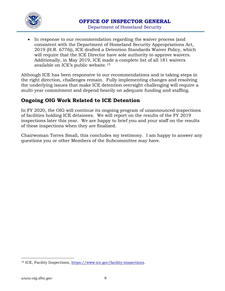

• In response to our recommendation regarding the waiver process (and consistent with the Department of Homeland Security Appropriations Act, 2019 (H.R. 6776)), ICE drafted a Detention Standards Waiver Policy, which will require that the ICE Director have sole authority to approve waivers. Additionally, in May 2019, ICE made a complete list of all 181 waivers available on ICE's public website.[15](#page-8-0)

Although ICE has been responsive to our recommendations and is taking steps in the right direction, challenges remain. Fully implementing changes and resolving the underlying issues that make ICE detention oversight challenging will require a multi-year commitment and depend heavily on adequate funding and staffing.

# **Ongoing OIG Work Related to ICE Detention**

In FY 2020, the OIG will continue its ongoing program of unannounced inspections of facilities holding ICE detainees. We will report on the results of the FY 2019 inspections later this year. We are happy to brief you and your staff on the results of these inspections when they are finalized.

Chairwoman Torres Small, this concludes my testimony. I am happy to answer any questions you or other Members of the Subcommittee may have.

<span id="page-8-0"></span> $\overline{a}$ <sup>15</sup> ICE, Facility Inspections, [https://www.ice.gov/facility-inspections.](https://www.ice.gov/facility-inspections)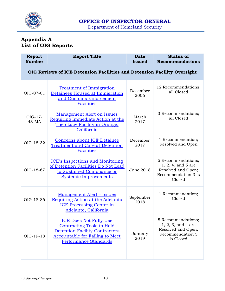

Department of Homeland Security

# **Appendix A List of OIG Reports**

| <b>Report</b><br><b>Number</b>                                           | <b>Report Title</b>                                                                                                                                                           | <b>Date</b><br><b>Issued</b> | <b>Status of</b><br><b>Recommendations</b>                                                        |  |  |
|--------------------------------------------------------------------------|-------------------------------------------------------------------------------------------------------------------------------------------------------------------------------|------------------------------|---------------------------------------------------------------------------------------------------|--|--|
| OIG Reviews of ICE Detention Facilities and Detention Facility Oversight |                                                                                                                                                                               |                              |                                                                                                   |  |  |
| OIG-07-01                                                                | <b>Treatment of Immigration</b><br>Detainees Housed at Immigration<br>and Customs Enforcement<br><b>Facilities</b>                                                            | December<br>2006             | 12 Recommendations;<br>all Closed                                                                 |  |  |
| $OIG-17$ -<br>$43-MA$                                                    | <b>Management Alert on Issues</b><br>Requiring Immediate Action at the<br>Theo Lacy Facility in Orange,<br>California                                                         | March<br>2017                | 3 Recommendations;<br>all Closed                                                                  |  |  |
| OIG-18-32                                                                | <b>Concerns about ICE Detainee</b><br><b>Treatment and Care at Detention</b><br><b>Facilities</b>                                                                             | December<br>2017             | 1 Recommendation;<br>Resolved and Open                                                            |  |  |
| OIG-18-67                                                                | <b>ICE's Inspections and Monitoring</b><br>of Detention Facilities Do Not Lead<br>to Sustained Compliance or<br><b>Systemic Improvements</b>                                  | June 2018                    | 5 Recommendations;<br>$1, 2, 4,$ and 5 are<br>Resolved and Open;<br>Recommendation 3 is<br>Closed |  |  |
| OIG-18-86                                                                | Management Alert – Issues<br>Requiring Action at the Adelanto<br><b>ICE Processing Center in</b><br>Adelanto, California                                                      | September<br>2018            | 1 Recommendation;<br>Closed                                                                       |  |  |
| OIG-19-18                                                                | <b>ICE Does Not Fully Use</b><br><b>Contracting Tools to Hold</b><br><b>Detention Facility Contractors</b><br><b>Accountable for Failing to Meet</b><br>Performance Standards | January<br>2019              | 5 Recommendations;<br>$1, 2, 3,$ and 4 are<br>Resolved and Open;<br>Recommendation 5<br>is Closed |  |  |